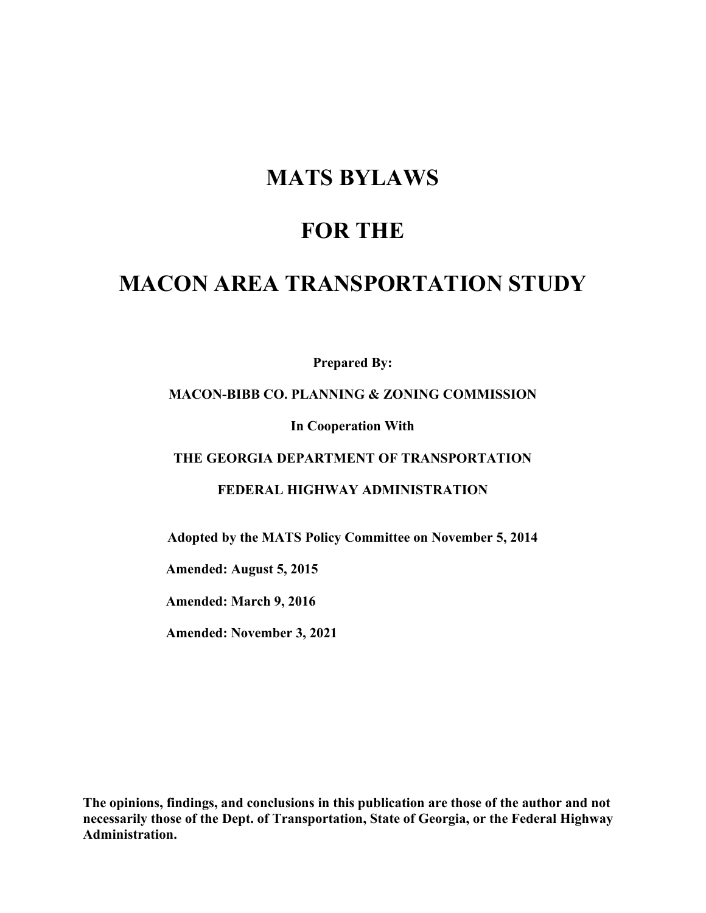# **MATS BYLAWS**

## **FOR THE**

## **MACON AREA TRANSPORTATION STUDY**

**Prepared By:**

## **MACON-BIBB CO. PLANNING & ZONING COMMISSION**

**In Cooperation With** 

## **THE GEORGIA DEPARTMENT OF TRANSPORTATION**

## **FEDERAL HIGHWAY ADMINISTRATION**

**Adopted by the MATS Policy Committee on November 5, 2014** 

**Amended: August 5, 2015** 

**Amended: March 9, 2016** 

**Amended: November 3, 2021** 

**The opinions, findings, and conclusions in this publication are those of the author and not necessarily those of the Dept. of Transportation, State of Georgia, or the Federal Highway Administration.**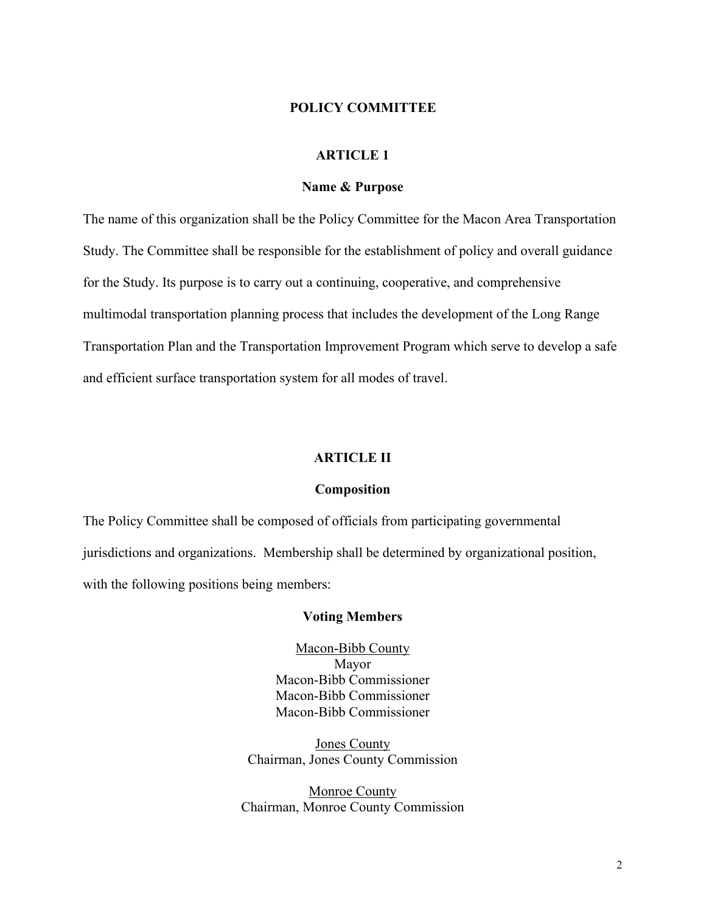## **POLICY COMMITTEE**

## **ARTICLE 1**

#### **Name & Purpose**

The name of this organization shall be the Policy Committee for the Macon Area Transportation Study. The Committee shall be responsible for the establishment of policy and overall guidance for the Study. Its purpose is to carry out a continuing, cooperative, and comprehensive multimodal transportation planning process that includes the development of the Long Range Transportation Plan and the Transportation Improvement Program which serve to develop a safe and efficient surface transportation system for all modes of travel.

## **ARTICLE II**

#### **Composition**

The Policy Committee shall be composed of officials from participating governmental jurisdictions and organizations. Membership shall be determined by organizational position, with the following positions being members:

## **Voting Members**

Macon-Bibb County Mayor Macon-Bibb Commissioner Macon-Bibb Commissioner Macon-Bibb Commissioner

Jones County Chairman, Jones County Commission

Monroe County Chairman, Monroe County Commission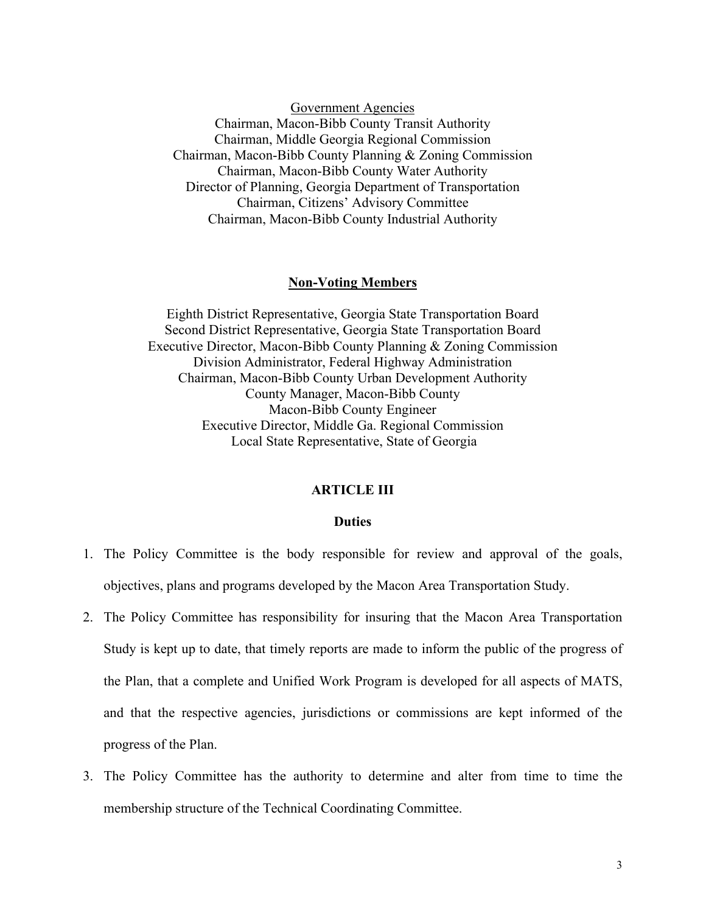Government Agencies Chairman, Macon-Bibb County Transit Authority Chairman, Middle Georgia Regional Commission Chairman, Macon-Bibb County Planning & Zoning Commission Chairman, Macon-Bibb County Water Authority Director of Planning, Georgia Department of Transportation Chairman, Citizens' Advisory Committee Chairman, Macon-Bibb County Industrial Authority

#### **Non-Voting Members**

Eighth District Representative, Georgia State Transportation Board Second District Representative, Georgia State Transportation Board Executive Director, Macon-Bibb County Planning & Zoning Commission Division Administrator, Federal Highway Administration Chairman, Macon-Bibb County Urban Development Authority County Manager, Macon-Bibb County Macon-Bibb County Engineer Executive Director, Middle Ga. Regional Commission Local State Representative, State of Georgia

## **ARTICLE III**

#### **Duties**

- 1. The Policy Committee is the body responsible for review and approval of the goals, objectives, plans and programs developed by the Macon Area Transportation Study.
- 2. The Policy Committee has responsibility for insuring that the Macon Area Transportation Study is kept up to date, that timely reports are made to inform the public of the progress of the Plan, that a complete and Unified Work Program is developed for all aspects of MATS, and that the respective agencies, jurisdictions or commissions are kept informed of the progress of the Plan.
- 3. The Policy Committee has the authority to determine and alter from time to time the membership structure of the Technical Coordinating Committee.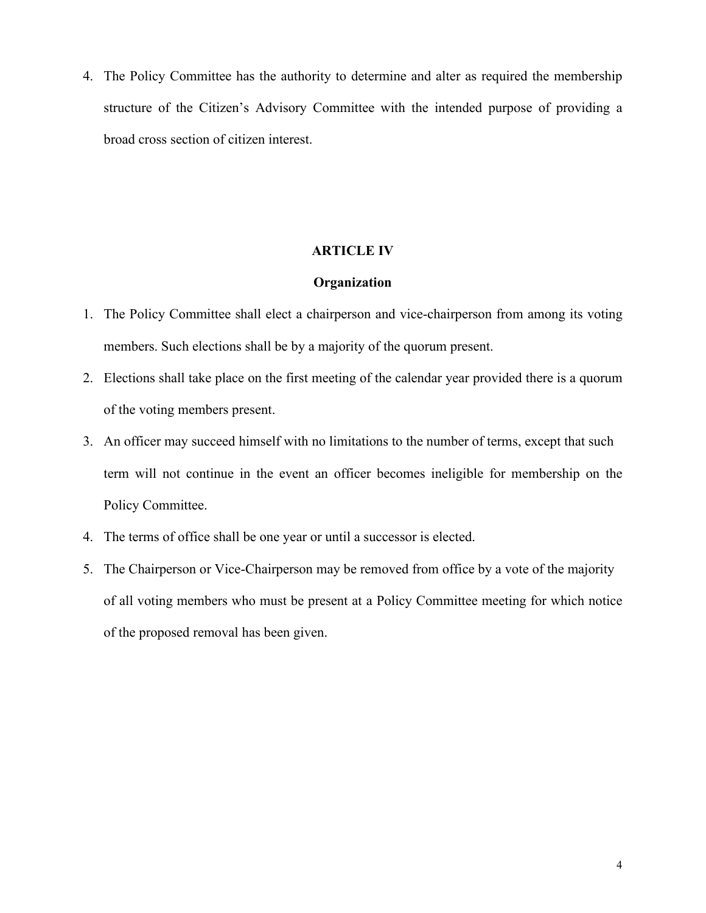4. The Policy Committee has the authority to determine and alter as required the membership structure of the Citizen's Advisory Committee with the intended purpose of providing a broad cross section of citizen interest.

## **ARTICLE IV**

## **Organization**

- 1. The Policy Committee shall elect a chairperson and vice-chairperson from among its voting members. Such elections shall be by a majority of the quorum present.
- 2. Elections shall take place on the first meeting of the calendar year provided there is a quorum of the voting members present.
- 3. An officer may succeed himself with no limitations to the number of terms, except that such term will not continue in the event an officer becomes ineligible for membership on the Policy Committee.
- 4. The terms of office shall be one year or until a successor is elected.
- 5. The Chairperson or Vice-Chairperson may be removed from office by a vote of the majority of all voting members who must be present at a Policy Committee meeting for which notice of the proposed removal has been given.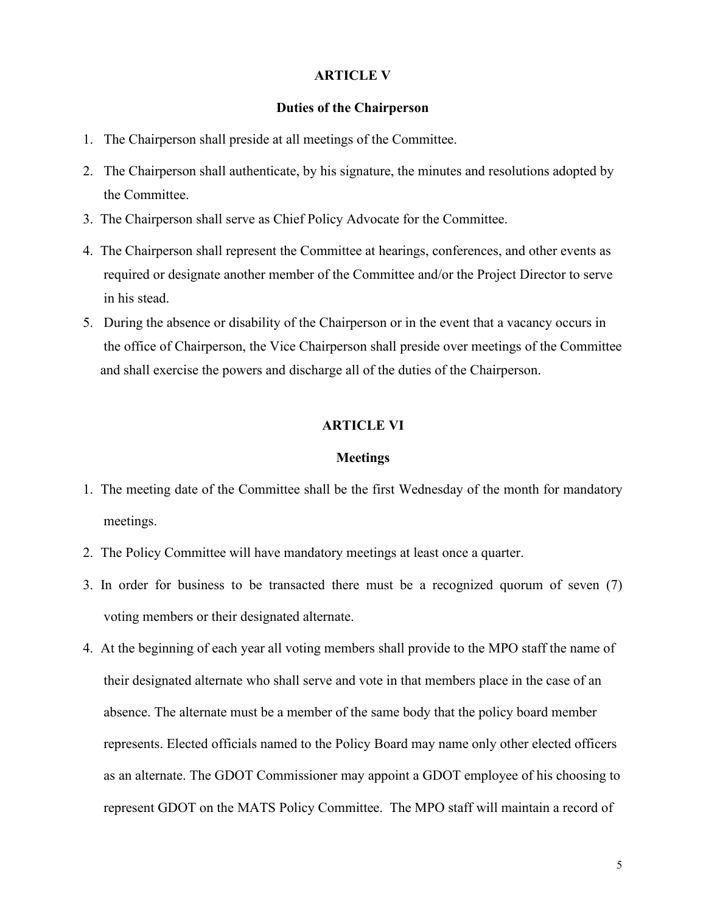## **ARTICLE V**

## **Duties of the Chairperson**

- 1. The Chairperson shall preside at all meetings of the Committee.
- 2. The Chairperson shall authenticate, by his signature, the minutes and resolutions adopted by the Committee.
- 3. The Chairperson shall serve as Chief Policy Advocate for the Committee.
- 4. The Chairperson shall represent the Committee at hearings, conferences, and other events as required or designate another member of the Committee and/or the Project Director to serve in his stead.
- 5. During the absence or disability of the Chairperson or in the event that a vacancy occurs in the office of Chairperson, the Vice Chairperson shall preside over meetings of the Committee and shall exercise the powers and discharge all of the duties of the Chairperson.

#### **ARTICLE VI**

## **Meetings**

- 1. The meeting date of the Committee shall be the first Wednesday of the month for mandatory meetings.
- 2. The Policy Committee will have mandatory meetings at least once a quarter.
- 3. In order for business to be transacted there must be a recognized quorum of seven (7) voting members or their designated alternate.
- 4. At the beginning of each year all voting members shall provide to the MPO staff the name of their designated alternate who shall serve and vote in that members place in the case of an absence. The alternate must be a member of the same body that the policy board member represents. Elected officials named to the Policy Board may name only other elected officers as an alternate. The GDOT Commissioner may appoint a GDOT employee of his choosing to represent GDOT on the MATS Policy Committee. The MPO staff will maintain a record of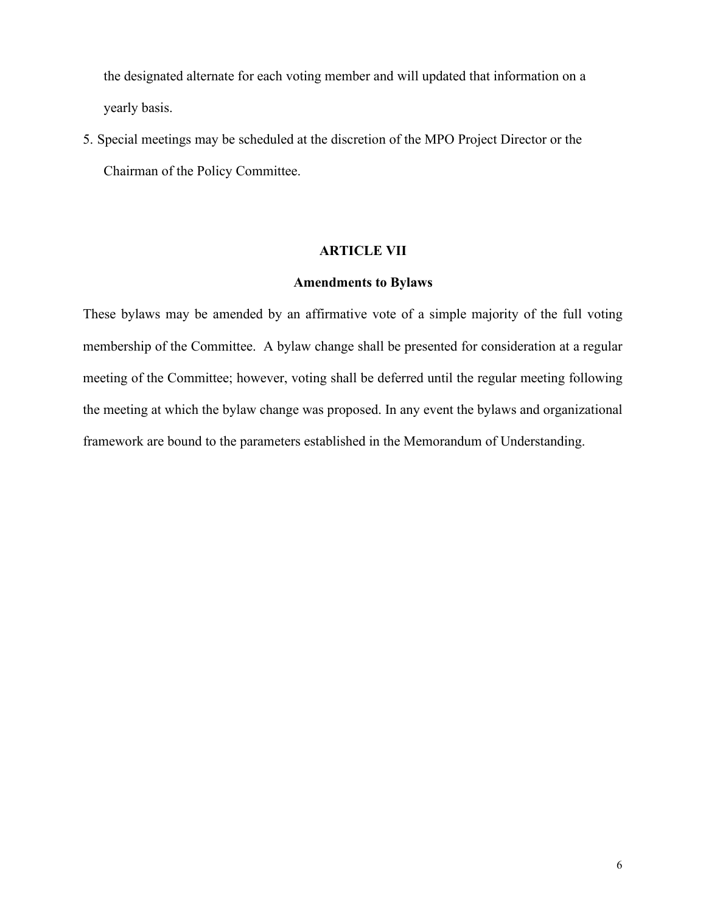the designated alternate for each voting member and will updated that information on a yearly basis.

5. Special meetings may be scheduled at the discretion of the MPO Project Director or the Chairman of the Policy Committee.

## **ARTICLE VII**

## **Amendments to Bylaws**

These bylaws may be amended by an affirmative vote of a simple majority of the full voting membership of the Committee. A bylaw change shall be presented for consideration at a regular meeting of the Committee; however, voting shall be deferred until the regular meeting following the meeting at which the bylaw change was proposed. In any event the bylaws and organizational framework are bound to the parameters established in the Memorandum of Understanding.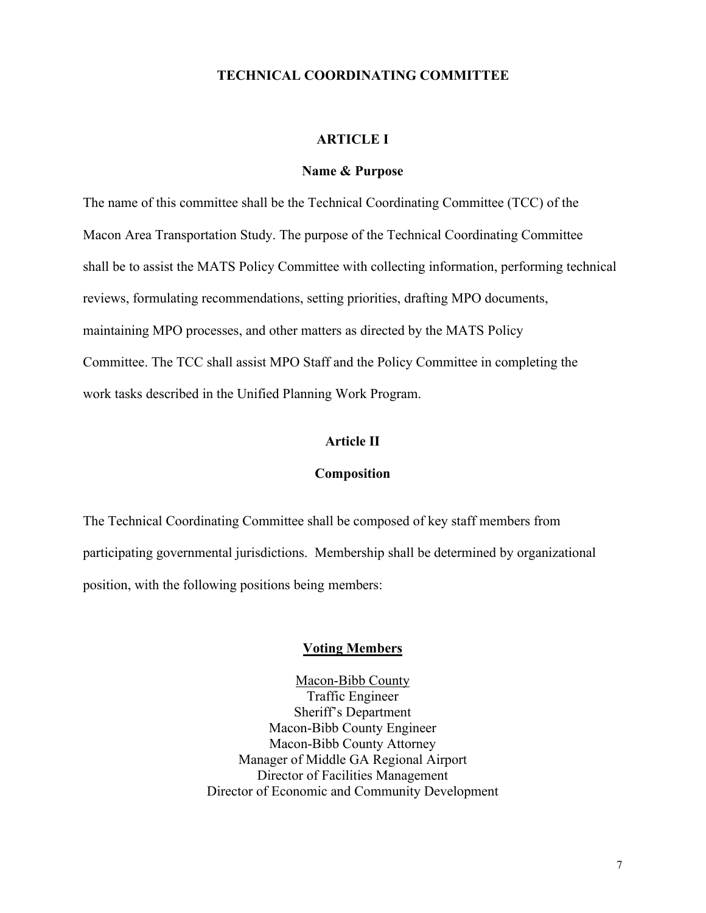## **TECHNICAL COORDINATING COMMITTEE**

#### **ARTICLE I**

## **Name & Purpose**

The name of this committee shall be the Technical Coordinating Committee (TCC) of the Macon Area Transportation Study. The purpose of the Technical Coordinating Committee shall be to assist the MATS Policy Committee with collecting information, performing technical reviews, formulating recommendations, setting priorities, drafting MPO documents, maintaining MPO processes, and other matters as directed by the MATS Policy Committee. The TCC shall assist MPO Staff and the Policy Committee in completing the work tasks described in the Unified Planning Work Program.

#### **Article II**

#### **Composition**

The Technical Coordinating Committee shall be composed of key staff members from participating governmental jurisdictions. Membership shall be determined by organizational position, with the following positions being members:

#### **Voting Members**

Macon-Bibb County Traffic Engineer Sheriff's Department Macon-Bibb County Engineer Macon-Bibb County Attorney Manager of Middle GA Regional Airport Director of Facilities Management Director of Economic and Community Development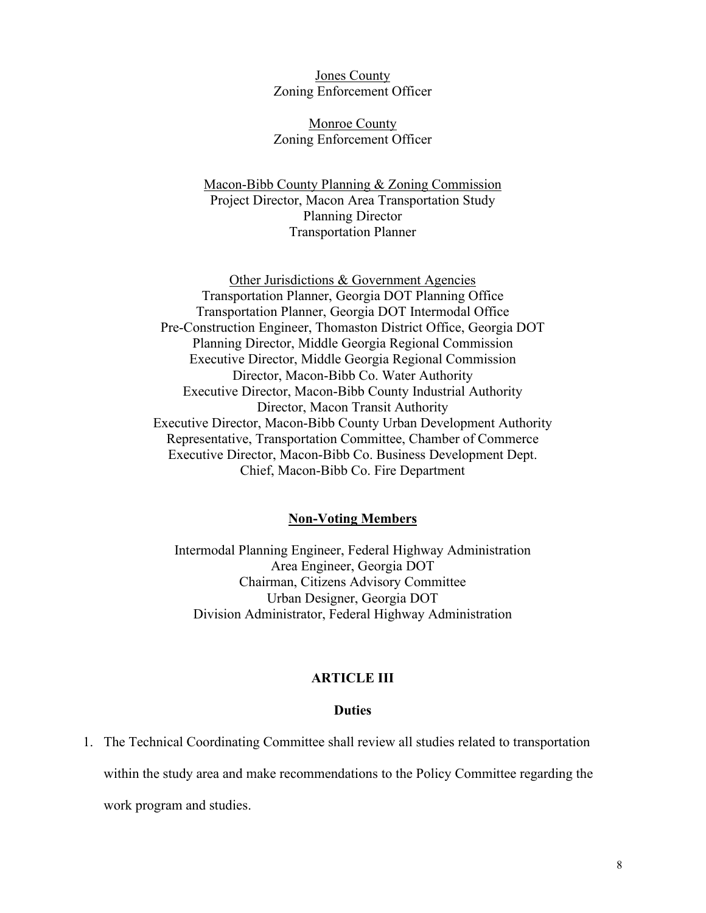Jones County Zoning Enforcement Officer

## Monroe County Zoning Enforcement Officer

Macon-Bibb County Planning & Zoning Commission Project Director, Macon Area Transportation Study Planning Director Transportation Planner

Other Jurisdictions & Government Agencies Transportation Planner, Georgia DOT Planning Office Transportation Planner, Georgia DOT Intermodal Office Pre-Construction Engineer, Thomaston District Office, Georgia DOT Planning Director, Middle Georgia Regional Commission Executive Director, Middle Georgia Regional Commission Director, Macon-Bibb Co. Water Authority Executive Director, Macon-Bibb County Industrial Authority Director, Macon Transit Authority Executive Director, Macon-Bibb County Urban Development Authority Representative, Transportation Committee, Chamber of Commerce Executive Director, Macon-Bibb Co. Business Development Dept. Chief, Macon-Bibb Co. Fire Department

## **Non-Voting Members**

Intermodal Planning Engineer, Federal Highway Administration Area Engineer, Georgia DOT Chairman, Citizens Advisory Committee Urban Designer, Georgia DOT Division Administrator, Federal Highway Administration

## **ARTICLE III**

## **Duties**

1. The Technical Coordinating Committee shall review all studies related to transportation within the study area and make recommendations to the Policy Committee regarding the work program and studies.

8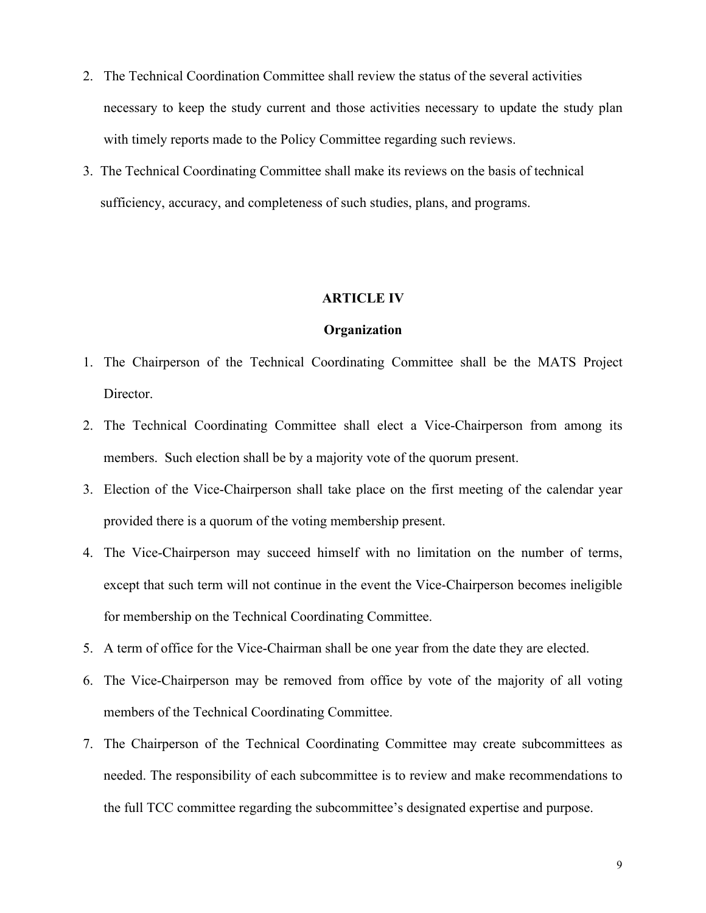- 2. The Technical Coordination Committee shall review the status of the several activities necessary to keep the study current and those activities necessary to update the study plan with timely reports made to the Policy Committee regarding such reviews.
- 3. The Technical Coordinating Committee shall make its reviews on the basis of technical sufficiency, accuracy, and completeness of such studies, plans, and programs.

## **ARTICLE IV**

## **Organization**

- 1. The Chairperson of the Technical Coordinating Committee shall be the MATS Project Director.
- 2. The Technical Coordinating Committee shall elect a Vice-Chairperson from among its members. Such election shall be by a majority vote of the quorum present.
- 3. Election of the Vice-Chairperson shall take place on the first meeting of the calendar year provided there is a quorum of the voting membership present.
- 4. The Vice-Chairperson may succeed himself with no limitation on the number of terms, except that such term will not continue in the event the Vice-Chairperson becomes ineligible for membership on the Technical Coordinating Committee.
- 5. A term of office for the Vice-Chairman shall be one year from the date they are elected.
- 6. The Vice-Chairperson may be removed from office by vote of the majority of all voting members of the Technical Coordinating Committee.
- 7. The Chairperson of the Technical Coordinating Committee may create subcommittees as needed. The responsibility of each subcommittee is to review and make recommendations to the full TCC committee regarding the subcommittee's designated expertise and purpose.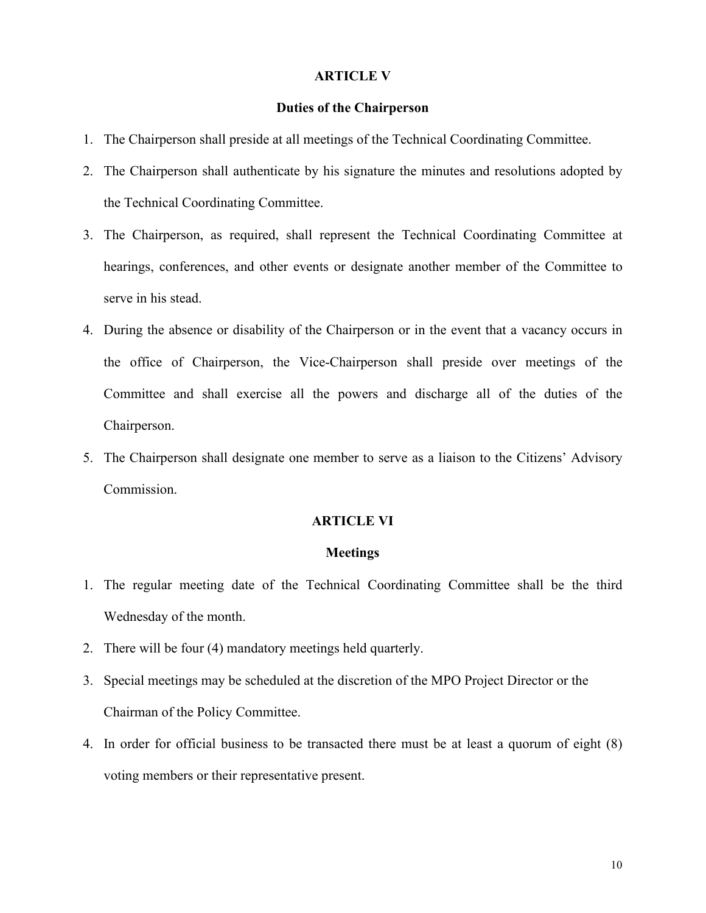## **ARTICLE V**

## **Duties of the Chairperson**

- 1. The Chairperson shall preside at all meetings of the Technical Coordinating Committee.
- 2. The Chairperson shall authenticate by his signature the minutes and resolutions adopted by the Technical Coordinating Committee.
- 3. The Chairperson, as required, shall represent the Technical Coordinating Committee at hearings, conferences, and other events or designate another member of the Committee to serve in his stead.
- 4. During the absence or disability of the Chairperson or in the event that a vacancy occurs in the office of Chairperson, the Vice-Chairperson shall preside over meetings of the Committee and shall exercise all the powers and discharge all of the duties of the Chairperson.
- 5. The Chairperson shall designate one member to serve as a liaison to the Citizens' Advisory Commission.

## **ARTICLE VI**

#### **Meetings**

- 1. The regular meeting date of the Technical Coordinating Committee shall be the third Wednesday of the month.
- 2. There will be four (4) mandatory meetings held quarterly.
- 3. Special meetings may be scheduled at the discretion of the MPO Project Director or the Chairman of the Policy Committee.
- 4. In order for official business to be transacted there must be at least a quorum of eight (8) voting members or their representative present.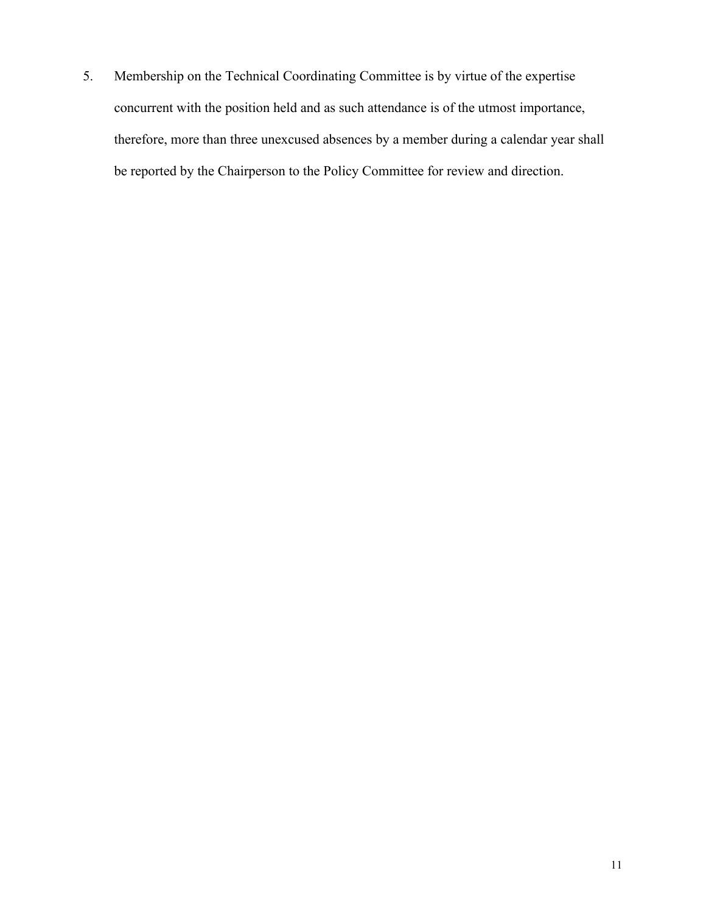5. Membership on the Technical Coordinating Committee is by virtue of the expertise concurrent with the position held and as such attendance is of the utmost importance, therefore, more than three unexcused absences by a member during a calendar year shall be reported by the Chairperson to the Policy Committee for review and direction.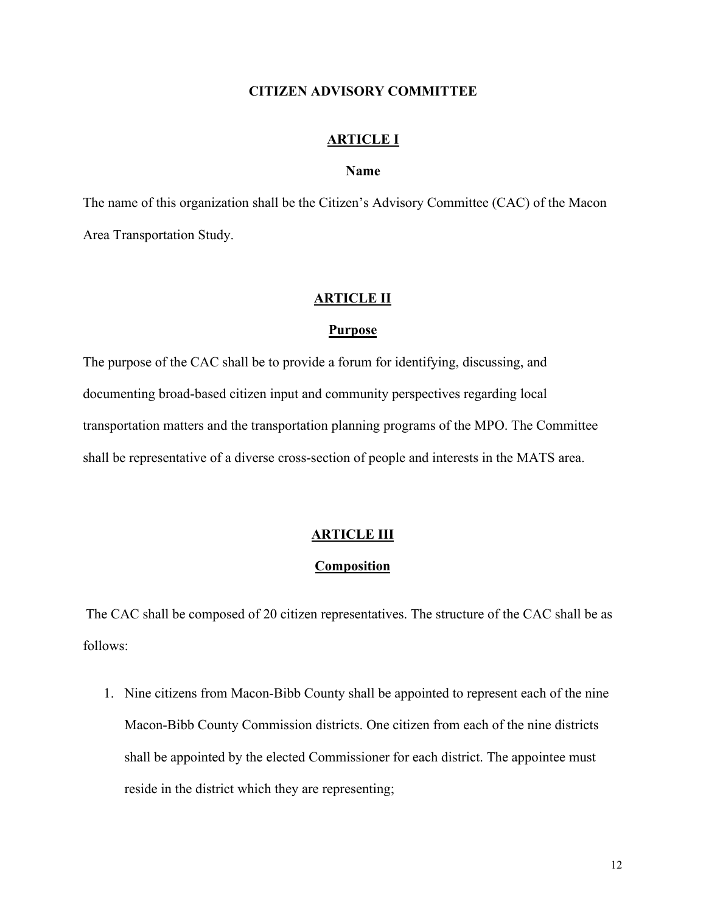#### **CITIZEN ADVISORY COMMITTEE**

#### **ARTICLE I**

## **Name**

The name of this organization shall be the Citizen's Advisory Committee (CAC) of the Macon Area Transportation Study.

## **ARTICLE II**

## **Purpose**

The purpose of the CAC shall be to provide a forum for identifying, discussing, and documenting broad-based citizen input and community perspectives regarding local transportation matters and the transportation planning programs of the MPO. The Committee shall be representative of a diverse cross-section of people and interests in the MATS area.

## **ARTICLE III**

## **Composition**

The CAC shall be composed of 20 citizen representatives. The structure of the CAC shall be as follows:

1. Nine citizens from Macon-Bibb County shall be appointed to represent each of the nine Macon-Bibb County Commission districts. One citizen from each of the nine districts shall be appointed by the elected Commissioner for each district. The appointee must reside in the district which they are representing;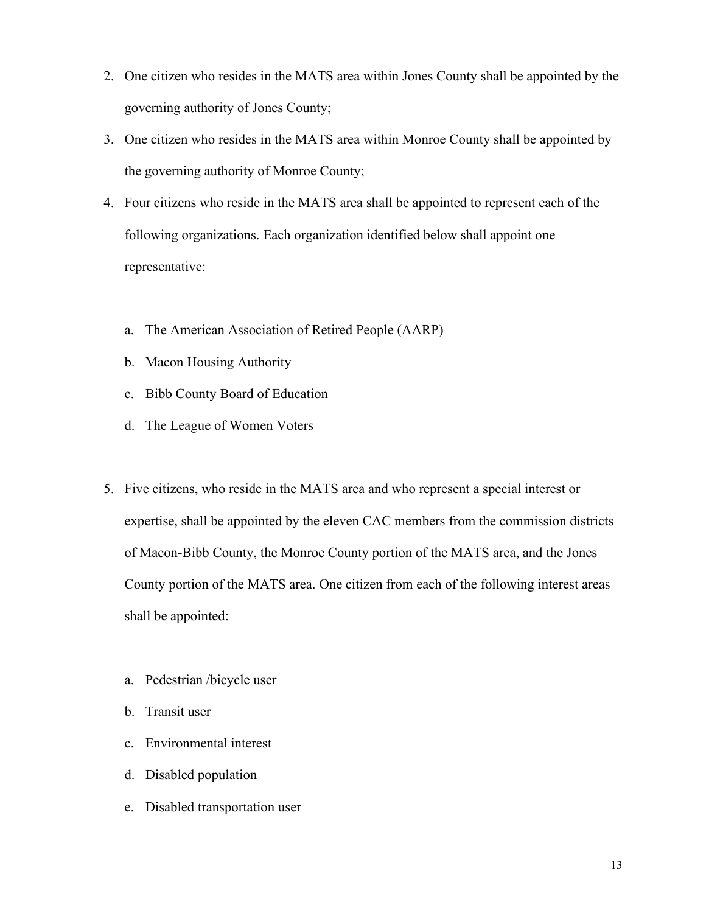- 2. One citizen who resides in the MATS area within Jones County shall be appointed by the governing authority of Jones County;
- 3. One citizen who resides in the MATS area within Monroe County shall be appointed by the governing authority of Monroe County;
- 4. Four citizens who reside in the MATS area shall be appointed to represent each of the following organizations. Each organization identified below shall appoint one representative:
	- a. The American Association of Retired People (AARP)
	- b. Macon Housing Authority
	- c. Bibb County Board of Education
	- d. The League of Women Voters
- 5. Five citizens, who reside in the MATS area and who represent a special interest or expertise, shall be appointed by the eleven CAC members from the commission districts of Macon-Bibb County, the Monroe County portion of the MATS area, and the Jones County portion of the MATS area. One citizen from each of the following interest areas shall be appointed:
	- a. Pedestrian /bicycle user
	- b. Transit user
	- c. Environmental interest
	- d. Disabled population
	- e. Disabled transportation user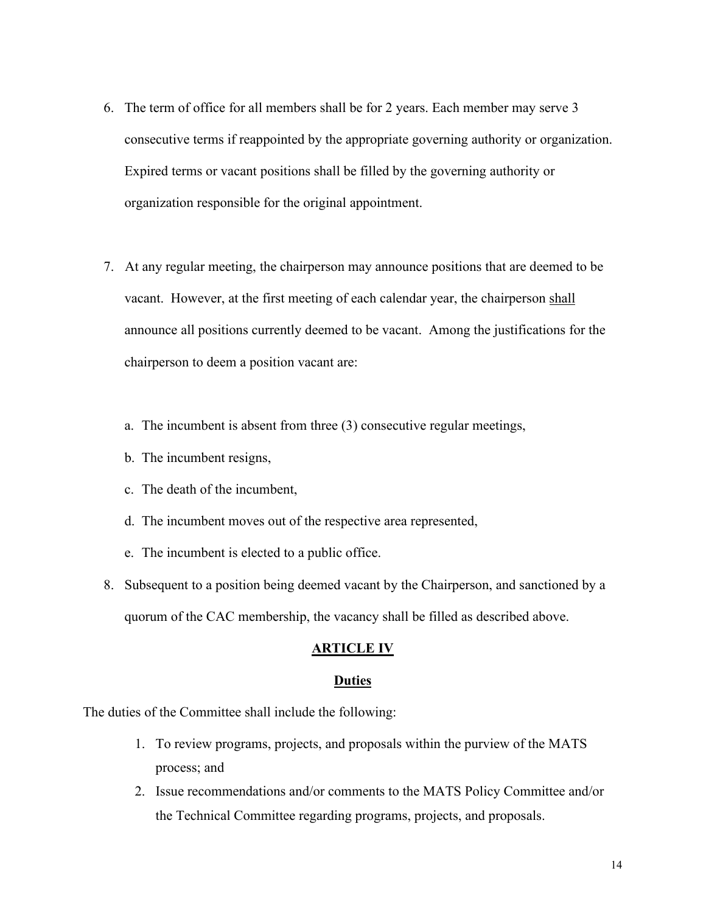- 6. The term of office for all members shall be for 2 years. Each member may serve 3 consecutive terms if reappointed by the appropriate governing authority or organization. Expired terms or vacant positions shall be filled by the governing authority or organization responsible for the original appointment.
- 7. At any regular meeting, the chairperson may announce positions that are deemed to be vacant. However, at the first meeting of each calendar year, the chairperson shall announce all positions currently deemed to be vacant. Among the justifications for the chairperson to deem a position vacant are:
	- a. The incumbent is absent from three (3) consecutive regular meetings,
	- b. The incumbent resigns,
	- c. The death of the incumbent,
	- d. The incumbent moves out of the respective area represented,
	- e. The incumbent is elected to a public office.
- 8. Subsequent to a position being deemed vacant by the Chairperson, and sanctioned by a quorum of the CAC membership, the vacancy shall be filled as described above.

## **ARTICLE IV**

## **Duties**

The duties of the Committee shall include the following:

- 1. To review programs, projects, and proposals within the purview of the MATS process; and
- 2. Issue recommendations and/or comments to the MATS Policy Committee and/or the Technical Committee regarding programs, projects, and proposals.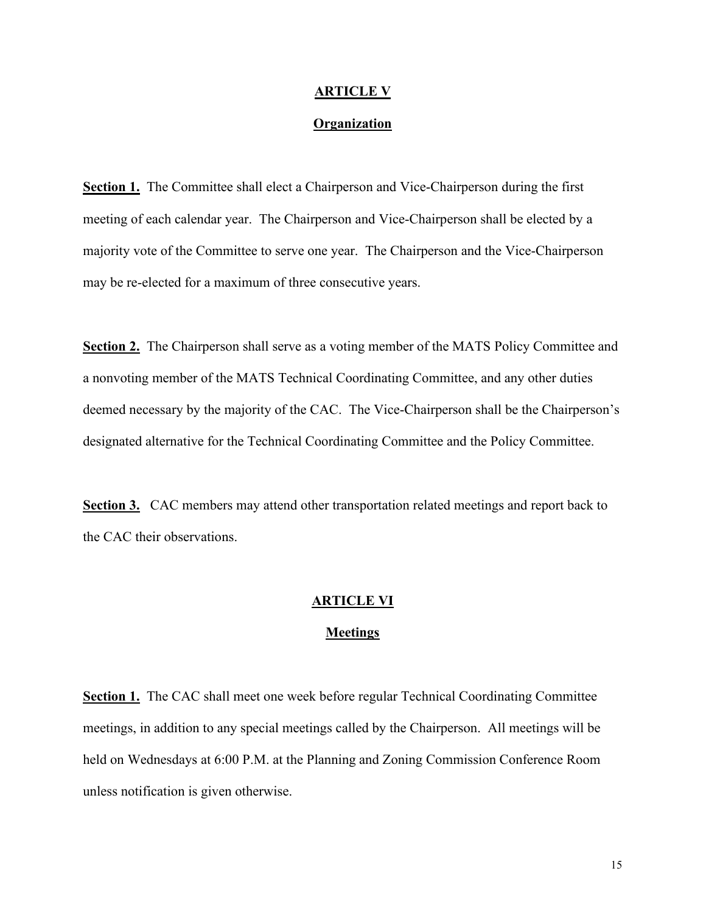#### **ARTICLE V**

## **Organization**

**Section 1.** The Committee shall elect a Chairperson and Vice-Chairperson during the first meeting of each calendar year. The Chairperson and Vice-Chairperson shall be elected by a majority vote of the Committee to serve one year. The Chairperson and the Vice-Chairperson may be re-elected for a maximum of three consecutive years.

**Section 2.** The Chairperson shall serve as a voting member of the MATS Policy Committee and a nonvoting member of the MATS Technical Coordinating Committee, and any other duties deemed necessary by the majority of the CAC. The Vice-Chairperson shall be the Chairperson's designated alternative for the Technical Coordinating Committee and the Policy Committee.

**Section 3.** CAC members may attend other transportation related meetings and report back to the CAC their observations.

#### **ARTICLE VI**

#### **Meetings**

**Section 1.** The CAC shall meet one week before regular Technical Coordinating Committee meetings, in addition to any special meetings called by the Chairperson. All meetings will be held on Wednesdays at 6:00 P.M. at the Planning and Zoning Commission Conference Room unless notification is given otherwise.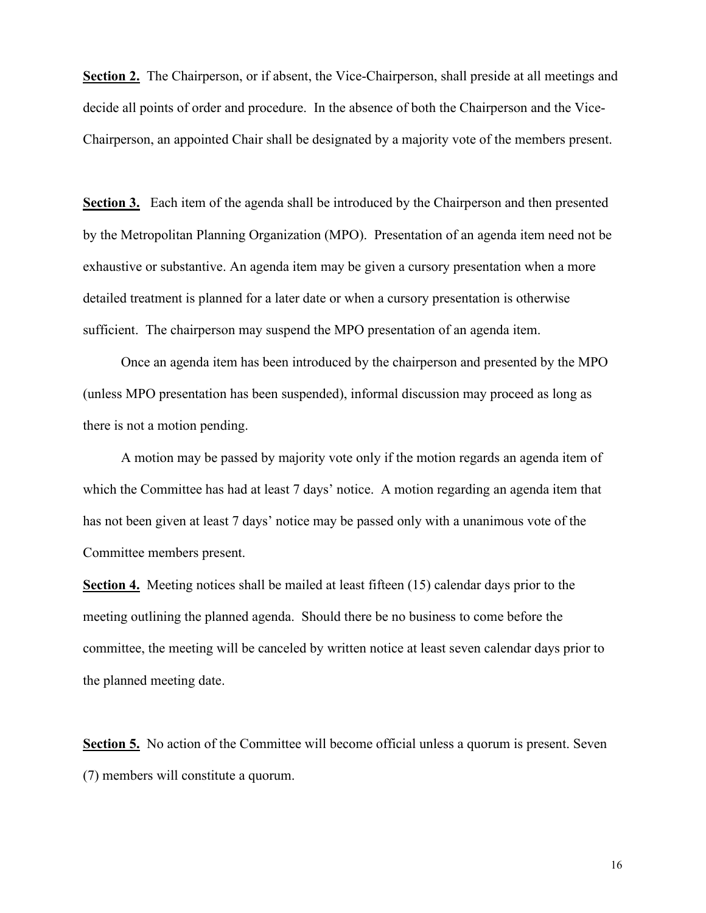**Section 2.** The Chairperson, or if absent, the Vice-Chairperson, shall preside at all meetings and decide all points of order and procedure. In the absence of both the Chairperson and the Vice-Chairperson, an appointed Chair shall be designated by a majority vote of the members present.

**Section 3.** Each item of the agenda shall be introduced by the Chairperson and then presented by the Metropolitan Planning Organization (MPO). Presentation of an agenda item need not be exhaustive or substantive. An agenda item may be given a cursory presentation when a more detailed treatment is planned for a later date or when a cursory presentation is otherwise sufficient. The chairperson may suspend the MPO presentation of an agenda item.

 Once an agenda item has been introduced by the chairperson and presented by the MPO (unless MPO presentation has been suspended), informal discussion may proceed as long as there is not a motion pending.

 A motion may be passed by majority vote only if the motion regards an agenda item of which the Committee has had at least 7 days' notice. A motion regarding an agenda item that has not been given at least 7 days' notice may be passed only with a unanimous vote of the Committee members present.

**Section 4.** Meeting notices shall be mailed at least fifteen (15) calendar days prior to the meeting outlining the planned agenda. Should there be no business to come before the committee, the meeting will be canceled by written notice at least seven calendar days prior to the planned meeting date.

**Section 5.** No action of the Committee will become official unless a quorum is present. Seven (7) members will constitute a quorum.